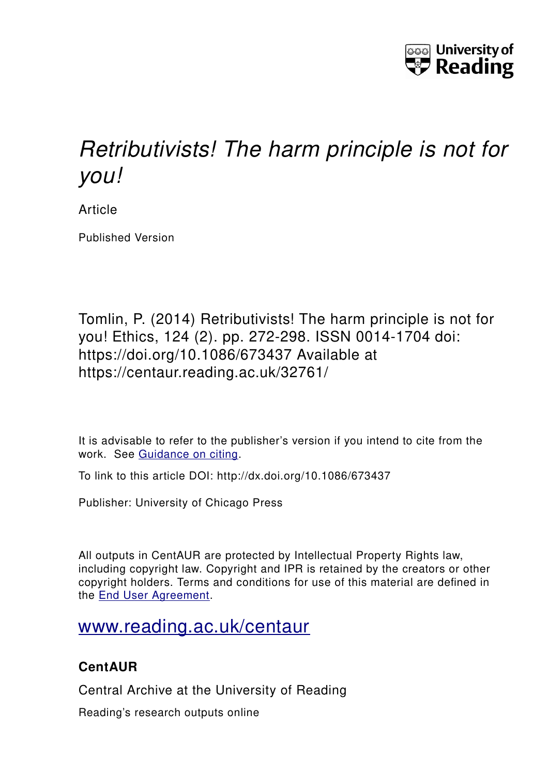

# *Retributivists! The harm principle is not for you!*

Article

Published Version

Tomlin, P. (2014) Retributivists! The harm principle is not for you! Ethics, 124 (2). pp. 272-298. ISSN 0014-1704 doi: https://doi.org/10.1086/673437 Available at https://centaur.reading.ac.uk/32761/

It is advisable to refer to the publisher's version if you intend to cite from the work. See [Guidance on citing.](http://centaur.reading.ac.uk/71187/10/CentAUR%20citing%20guide.pdf)

To link to this article DOI: http://dx.doi.org/10.1086/673437

Publisher: University of Chicago Press

All outputs in CentAUR are protected by Intellectual Property Rights law, including copyright law. Copyright and IPR is retained by the creators or other copyright holders. Terms and conditions for use of this material are defined in the [End User Agreement.](http://centaur.reading.ac.uk/licence)

## [www.reading.ac.uk/centaur](http://www.reading.ac.uk/centaur)

## **CentAUR**

Central Archive at the University of Reading

Reading's research outputs online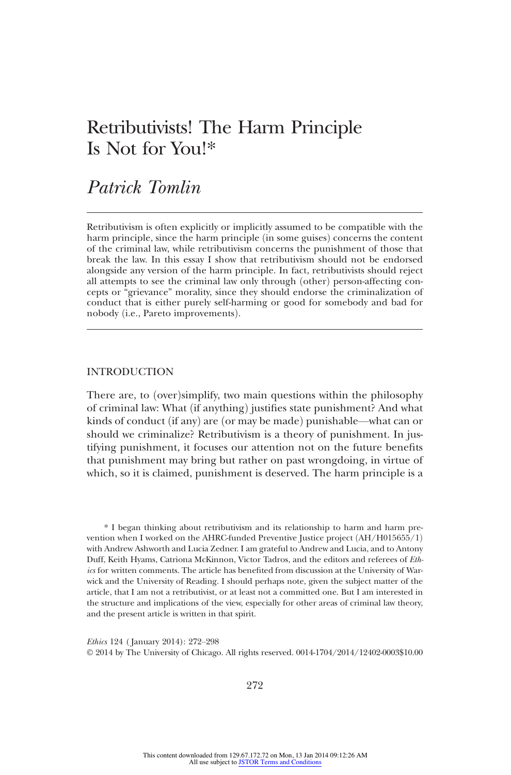## Retributivists! The Harm Principle Is Not for You!\*

## Patrick Tomlin

Retributivism is often explicitly or implicitly assumed to be compatible with the harm principle, since the harm principle (in some guises) concerns the content of the criminal law, while retributivism concerns the punishment of those that break the law. In this essay I show that retributivism should not be endorsed alongside any version of the harm principle. In fact, retributivists should reject all attempts to see the criminal law only through (other) person-affecting concepts or "grievance" morality, since they should endorse the criminalization of conduct that is either purely self-harming or good for somebody and bad for nobody (i.e., Pareto improvements).

## INTRODUCTION

There are, to (over)simplify, two main questions within the philosophy of criminal law: What (if anything) justifies state punishment? And what kinds of conduct (if any) are (or may be made) punishable—what can or should we criminalize? Retributivism is a theory of punishment. In justifying punishment, it focuses our attention not on the future benefits that punishment may bring but rather on past wrongdoing, in virtue of which, so it is claimed, punishment is deserved. The harm principle is a

\* I began thinking about retributivism and its relationship to harm and harm prevention when I worked on the AHRC-funded Preventive Justice project (AH/H015655/1) with Andrew Ashworth and Lucia Zedner. I am grateful to Andrew and Lucia, and to Antony Duff, Keith Hyams, Catriona McKinnon, Victor Tadros, and the editors and referees of Ethics for written comments. The article has benefited from discussion at the University of Warwick and the University of Reading. I should perhaps note, given the subject matter of the article, that I am not a retributivist, or at least not a committed one. But I am interested in the structure and implications of the view, especially for other areas of criminal law theory, and the present article is written in that spirit.

Ethics 124 ( January 2014): 272–298 © 2014 by The University of Chicago. All rights reserved. 0014-1704/2014/12402-0003\$10.00

979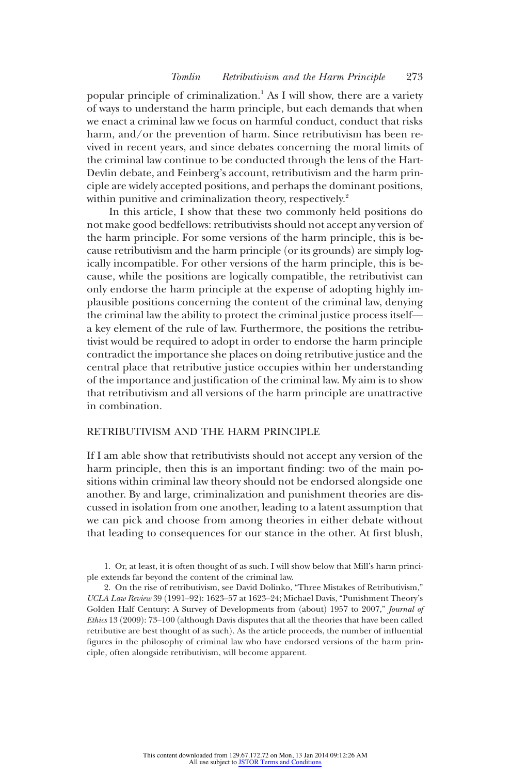popular principle of criminalization.<sup>1</sup> As I will show, there are a variety of ways to understand the harm principle, but each demands that when we enact a criminal law we focus on harmful conduct, conduct that risks harm, and/or the prevention of harm. Since retributivism has been revived in recent years, and since debates concerning the moral limits of the criminal law continue to be conducted through the lens of the Hart-Devlin debate, and Feinberg's account, retributivism and the harm principle are widely accepted positions, and perhaps the dominant positions, within punitive and criminalization theory, respectively.<sup>2</sup>

In this article, I show that these two commonly held positions do not make good bedfellows: retributivists should not accept any version of the harm principle. For some versions of the harm principle, this is because retributivism and the harm principle (or its grounds) are simply logically incompatible. For other versions of the harm principle, this is because, while the positions are logically compatible, the retributivist can only endorse the harm principle at the expense of adopting highly implausible positions concerning the content of the criminal law, denying the criminal law the ability to protect the criminal justice process itself a key element of the rule of law. Furthermore, the positions the retributivist would be required to adopt in order to endorse the harm principle contradict the importance she places on doing retributive justice and the central place that retributive justice occupies within her understanding of the importance and justification of the criminal law. My aim is to show that retributivism and all versions of the harm principle are unattractive in combination.

## RETRIBUTIVISM AND THE HARM PRINCIPLE

If I am able show that retributivists should not accept any version of the harm principle, then this is an important finding: two of the main positions within criminal law theory should not be endorsed alongside one another. By and large, criminalization and punishment theories are discussed in isolation from one another, leading to a latent assumption that we can pick and choose from among theories in either debate without that leading to consequences for our stance in the other. At first blush,

1. Or, at least, it is often thought of as such. I will show below that Mill's harm principle extends far beyond the content of the criminal law.

2. On the rise of retributivism, see David Dolinko, "Three Mistakes of Retributivism," UCLA Law Review 39 (1991–92): 1623–57 at 1623–24; Michael Davis, "Punishment Theory's Golden Half Century: A Survey of Developments from (about) 1957 to 2007," Journal of *Ethics* 13 (2009): 73–100 (although Davis disputes that all the theories that have been called retributive are best thought of as such). As the article proceeds, the number of influential figures in the philosophy of criminal law who have endorsed versions of the harm principle, often alongside retributivism, will become apparent.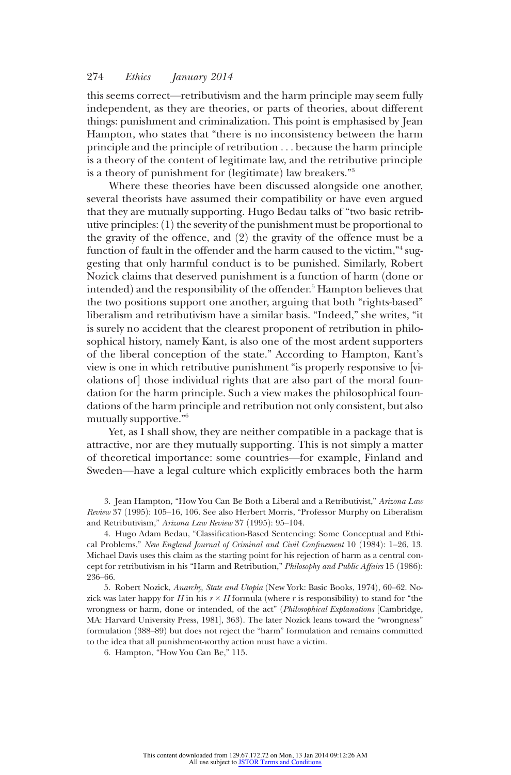this seems correct—retributivism and the harm principle may seem fully independent, as they are theories, or parts of theories, about different things: punishment and criminalization. This point is emphasised by Jean Hampton, who states that "there is no inconsistency between the harm principle and the principle of retribution ... because the harm principle is a theory of the content of legitimate law, and the retributive principle is a theory of punishment for  $($ legitimate $)$  law breakers."<sup>3</sup>

Where these theories have been discussed alongside one another, several theorists have assumed their compatibility or have even argued that they are mutually supporting. Hugo Bedau talks of "two basic retributive principles:  $(1)$  the severity of the punishment must be proportional to the gravity of the offence, and  $(2)$  the gravity of the offence must be a function of fault in the offender and the harm caused to the victim,"4 suggesting that only harmful conduct is to be punished. Similarly, Robert Nozick claims that deserved punishment is a function of harm (done or intended) and the responsibility of the offender.<sup>5</sup> Hampton believes that the two positions support one another, arguing that both "rights-based" liberalism and retributivism have a similar basis. "Indeed," she writes, "it is surely no accident that the clearest proponent of retribution in philosophical history, namely Kant, is also one of the most ardent supporters of the liberal conception of the state." According to Hampton, Kant's view is one in which retributive punishment "is properly responsive to [violations of those individual rights that are also part of the moral foundation for the harm principle. Such a view makes the philosophical foundations of the harm principle and retribution not only consistent, but also mutually supportive."6

Yet, as I shall show, they are neither compatible in a package that is attractive, nor are they mutually supporting. This is not simply a matter of theoretical importance: some countries—for example, Finland and Sweden—have a legal culture which explicitly embraces both the harm

3. Jean Hampton, "How You Can Be Both a Liberal and a Retributivist," Arizona Law Review 37 (1995): 105–16, 106. See also Herbert Morris, "Professor Murphy on Liberalism and Retributivism," Arizona Law Review 37 (1995): 95-104.

4. Hugo Adam Bedau, "Classification-Based Sentencing: Some Conceptual and Ethical Problems," New England Journal of Criminal and Civil Confinement 10 (1984): 1–26, 13. Michael Davis uses this claim as the starting point for his rejection of harm as a central concept for retributivism in his "Harm and Retribution," Philosophy and Public Affairs 15 (1986): 236–66.

5. Robert Nozick, Anarchy, State and Utopia (New York: Basic Books, 1974), 60–62. Nozick was later happy for H in his  $r \times H$  formula (where r is responsibility) to stand for "the wrongness or harm, done or intended, of the act" (Philosophical Explanations [Cambridge, MA: Harvard University Press, 1981], 363). The later Nozick leans toward the "wrongness" formulation (388–89) but does not reject the "harm" formulation and remains committed to the idea that all punishment-worthy action must have a victim.

6. Hampton, "How You Can Be," 115.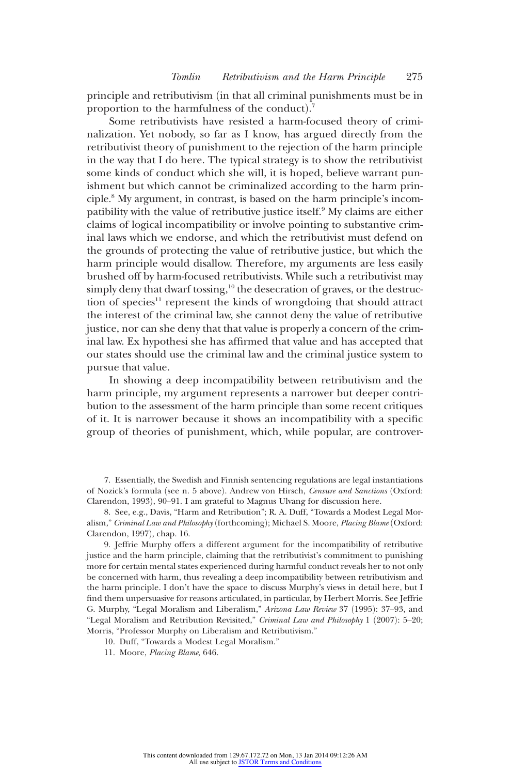principle and retributivism (in that all criminal punishments must be in proportion to the harmfulness of the conduct).<sup>7</sup>

Some retributivists have resisted a harm-focused theory of criminalization. Yet nobody, so far as I know, has argued directly from the retributivist theory of punishment to the rejection of the harm principle in the way that I do here. The typical strategy is to show the retributivist some kinds of conduct which she will, it is hoped, believe warrant punishment but which cannot be criminalized according to the harm principle.8 My argument, in contrast, is based on the harm principle's incompatibility with the value of retributive justice itself.9 My claims are either claims of logical incompatibility or involve pointing to substantive criminal laws which we endorse, and which the retributivist must defend on the grounds of protecting the value of retributive justice, but which the harm principle would disallow. Therefore, my arguments are less easily brushed off by harm-focused retributivists. While such a retributivist may simply deny that dwarf tossing,<sup>10</sup> the desecration of graves, or the destruction of species $11$  represent the kinds of wrongdoing that should attract the interest of the criminal law, she cannot deny the value of retributive justice, nor can she deny that that value is properly a concern of the criminal law. Ex hypothesi she has affirmed that value and has accepted that our states should use the criminal law and the criminal justice system to pursue that value.

In showing a deep incompatibility between retributivism and the harm principle, my argument represents a narrower but deeper contribution to the assessment of the harm principle than some recent critiques of it. It is narrower because it shows an incompatibility with a specific group of theories of punishment, which, while popular, are controver-

7. Essentially, the Swedish and Finnish sentencing regulations are legal instantiations of Nozick's formula (see n. 5 above). Andrew von Hirsch, Censure and Sanctions (Oxford: Clarendon, 1993), 90–91. I am grateful to Magnus Ulvang for discussion here.

8. See, e.g., Davis, "Harm and Retribution"; R. A. Duff, "Towards a Modest Legal Moralism," Criminal Law and Philosophy (forthcoming); Michael S. Moore, Placing Blame (Oxford: Clarendon, 1997), chap. 16.

9. Jeffrie Murphy offers a different argument for the incompatibility of retributive justice and the harm principle, claiming that the retributivist's commitment to punishing more for certain mental states experienced during harmful conduct reveals her to not only be concerned with harm, thus revealing a deep incompatibility between retributivism and the harm principle. I don't have the space to discuss Murphy's views in detail here, but I find them unpersuasive for reasons articulated, in particular, by Herbert Morris. See Jeffrie G. Murphy, "Legal Moralism and Liberalism," Arizona Law Review 37 (1995): 37–93, and "Legal Moralism and Retribution Revisited," Criminal Law and Philosophy 1 (2007): 5-20; Morris, "Professor Murphy on Liberalism and Retributivism."

10. Duff, "Towards a Modest Legal Moralism."

11. Moore, Placing Blame, 646.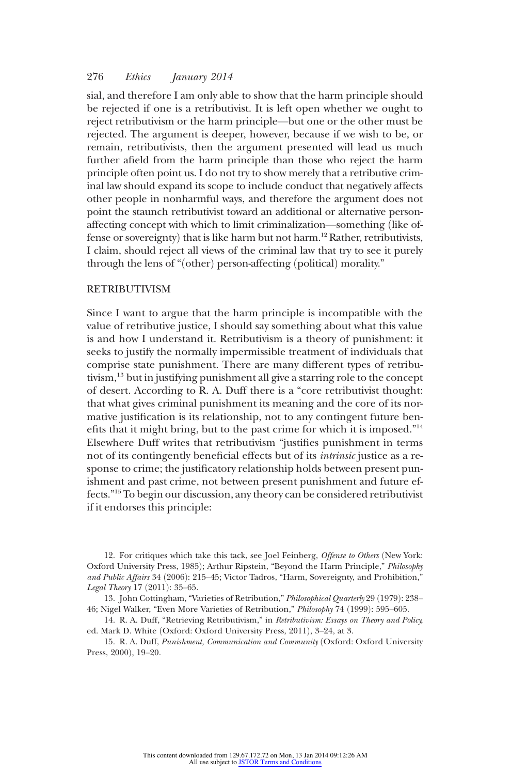sial, and therefore I am only able to show that the harm principle should be rejected if one is a retributivist. It is left open whether we ought to reject retributivism or the harm principle—but one or the other must be rejected. The argument is deeper, however, because if we wish to be, or remain, retributivists, then the argument presented will lead us much further afield from the harm principle than those who reject the harm principle often point us. I do not try to show merely that a retributive criminal law should expand its scope to include conduct that negatively affects other people in nonharmful ways, and therefore the argument does not point the staunch retributivist toward an additional or alternative personaffecting concept with which to limit criminalization—something (like offense or sovereignty) that is like harm but not harm.<sup>12</sup> Rather, retributivists, I claim, should reject all views of the criminal law that try to see it purely through the lens of "(other) person-affecting (political) morality."

## RETRIBUTIVISM

Since I want to argue that the harm principle is incompatible with the value of retributive justice, I should say something about what this value is and how I understand it. Retributivism is a theory of punishment: it seeks to justify the normally impermissible treatment of individuals that comprise state punishment. There are many different types of retributivism,<sup>13</sup> but in justifying punishment all give a starring role to the concept of desert. According to R. A. Duff there is a "core retributivist thought: that what gives criminal punishment its meaning and the core of its normative justification is its relationship, not to any contingent future benefits that it might bring, but to the past crime for which it is imposed."14 Elsewhere Duff writes that retributivism "justifies punishment in terms not of its contingently beneficial effects but of its intrinsic justice as a response to crime; the justificatory relationship holds between present punishment and past crime, not between present punishment and future effects."15To begin our discussion, any theory can be considered retributivist if it endorses this principle:

12. For critiques which take this tack, see Joel Feinberg, Offense to Others (New York: Oxford University Press, 1985); Arthur Ripstein, "Beyond the Harm Principle," Philosophy and Public Affairs 34 (2006): 215–45; Victor Tadros, "Harm, Sovereignty, and Prohibition," Legal Theory  $17$   $(2011)$ :  $35-65$ .

13. John Cottingham, "Varieties of Retribution," Philosophical Quarterly 29 (1979): 238– 46; Nigel Walker, "Even More Varieties of Retribution," Philosophy 74 (1999): 595-605.

14. R. A. Duff, "Retrieving Retributivism," in Retributivism: Essays on Theory and Policy, ed. Mark D. White (Oxford: Oxford University Press, 2011), 3–24, at 3.

15. R. A. Duff, Punishment, Communication and Community (Oxford: Oxford University Press, 2000), 19-20.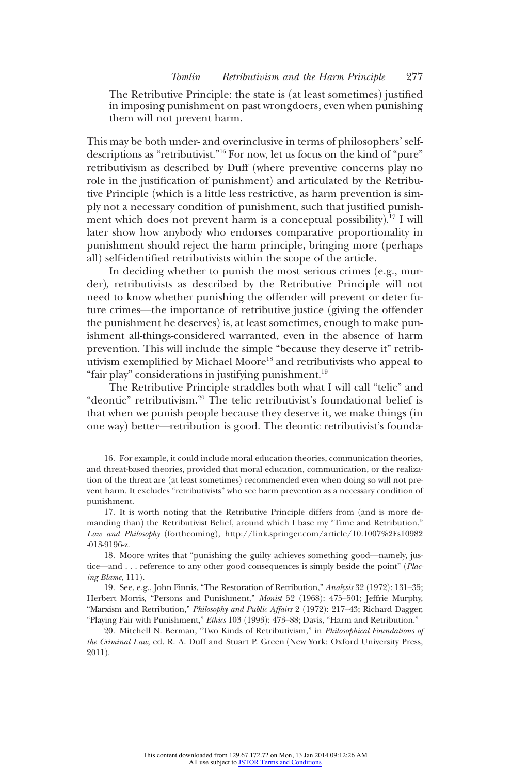The Retributive Principle: the state is (at least sometimes) justified in imposing punishment on past wrongdoers, even when punishing them will not prevent harm.

This may be both under- and overinclusive in terms of philosophers' selfdescriptions as "retributivist."16 For now, let us focus on the kind of "pure" retributivism as described by Duff (where preventive concerns play no role in the justification of punishment) and articulated by the Retributive Principle (which is a little less restrictive, as harm prevention is simply not a necessary condition of punishment, such that justified punishment which does not prevent harm is a conceptual possibility).<sup>17</sup> I will later show how anybody who endorses comparative proportionality in punishment should reject the harm principle, bringing more (perhaps all) self-identified retributivists within the scope of the article.

In deciding whether to punish the most serious crimes  $(e.g.,$  murder), retributivists as described by the Retributive Principle will not need to know whether punishing the offender will prevent or deter future crimes—the importance of retributive justice (giving the offender the punishment he deserves) is, at least sometimes, enough to make punishment all-things-considered warranted, even in the absence of harm prevention. This will include the simple "because they deserve it" retributivism exemplified by Michael Moore<sup>18</sup> and retributivists who appeal to "fair play" considerations in justifying punishment.<sup>19</sup>

The Retributive Principle straddles both what I will call "telic" and "deontic" retributivism.<sup>20</sup> The telic retributivist's foundational belief is that when we punish people because they deserve it, we make things (in one way) better—retribution is good. The deontic retributivist's founda-

16. For example, it could include moral education theories, communication theories, and threat-based theories, provided that moral education, communication, or the realization of the threat are (at least sometimes) recommended even when doing so will not prevent harm. It excludes "retributivists" who see harm prevention as a necessary condition of punishment.

17. It is worth noting that the Retributive Principle differs from (and is more demanding than) the Retributivist Belief, around which I base my "Time and Retribution," Law and Philosophy (forthcoming), http://link.springer.com/article/10.1007%2Fs10982 -013-9196-z.

18. Moore writes that "punishing the guilty achieves something good—namely, justice—and  $\ldots$  reference to any other good consequences is simply beside the point" (Plac $ing$  Blame,  $111$ .

19. See, e.g., John Finnis, "The Restoration of Retribution," Analysis 32 (1972): 131–35; Herbert Morris, "Persons and Punishment," Monist 52 (1968): 475-501; Jeffrie Murphy, "Marxism and Retribution," Philosophy and Public Affairs 2 (1972): 217-43; Richard Dagger, "Playing Fair with Punishment," Ethics 103 (1993): 473–88; Davis, "Harm and Retribution."

20. Mitchell N. Berman, "Two Kinds of Retributivism," in Philosophical Foundations of the Criminal Law, ed. R. A. Duff and Stuart P. Green (New York: Oxford University Press,  $2011$ ).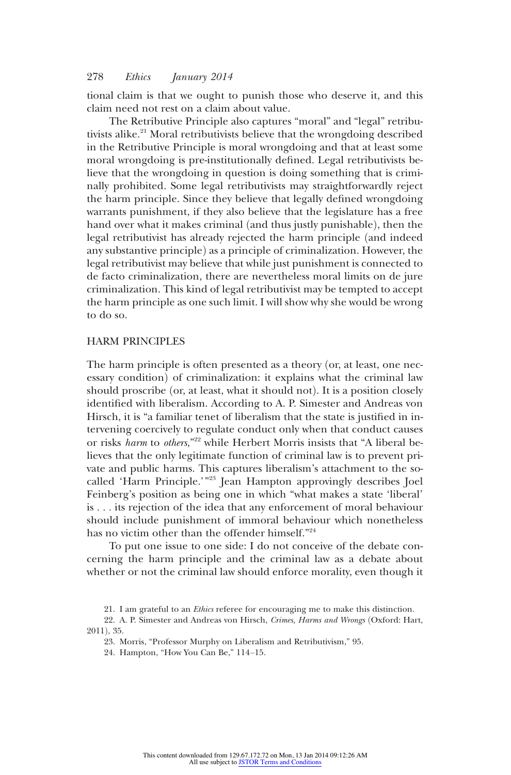tional claim is that we ought to punish those who deserve it, and this claim need not rest on a claim about value.

The Retributive Principle also captures "moral" and "legal" retributivists alike.<sup>21</sup> Moral retributivists believe that the wrongdoing described in the Retributive Principle is moral wrongdoing and that at least some moral wrongdoing is pre-institutionally defined. Legal retributivists believe that the wrongdoing in question is doing something that is criminally prohibited. Some legal retributivists may straightforwardly reject the harm principle. Since they believe that legally defined wrongdoing warrants punishment, if they also believe that the legislature has a free hand over what it makes criminal (and thus justly punishable), then the legal retributivist has already rejected the harm principle (and indeed any substantive principle) as a principle of criminalization. However, the legal retributivist may believe that while just punishment is connected to de facto criminalization, there are nevertheless moral limits on de jure criminalization. This kind of legal retributivist may be tempted to accept the harm principle as one such limit. I will show why she would be wrong to do so.

## HARM PRINCIPLES

The harm principle is often presented as a theory (or, at least, one necessary condition) of criminalization: it explains what the criminal law should proscribe (or, at least, what it should not). It is a position closely identified with liberalism. According to A. P. Simester and Andreas von Hirsch, it is "a familiar tenet of liberalism that the state is justified in intervening coercively to regulate conduct only when that conduct causes or risks harm to others,"<sup>22</sup> while Herbert Morris insists that "A liberal believes that the only legitimate function of criminal law is to prevent private and public harms. This captures liberalism's attachment to the socalled 'Harm Principle.'"<sup>23</sup> Jean Hampton approvingly describes Joel Feinberg's position as being one in which "what makes a state 'liberal' is ... its rejection of the idea that any enforcement of moral behaviour should include punishment of immoral behaviour which nonetheless has no victim other than the offender himself."<sup>24</sup>

To put one issue to one side: I do not conceive of the debate concerning the harm principle and the criminal law as a debate about whether or not the criminal law should enforce morality, even though it

<sup>21.</sup> I am grateful to an Ethics referee for encouraging me to make this distinction.

<sup>22.</sup> A. P. Simester and Andreas von Hirsch, Crimes, Harms and Wrongs (Oxford: Hart,  $2011$ ,  $35.$ 

<sup>23.</sup> Morris, "Professor Murphy on Liberalism and Retributivism," 95.

<sup>24.</sup> Hampton, "How You Can Be," 114–15.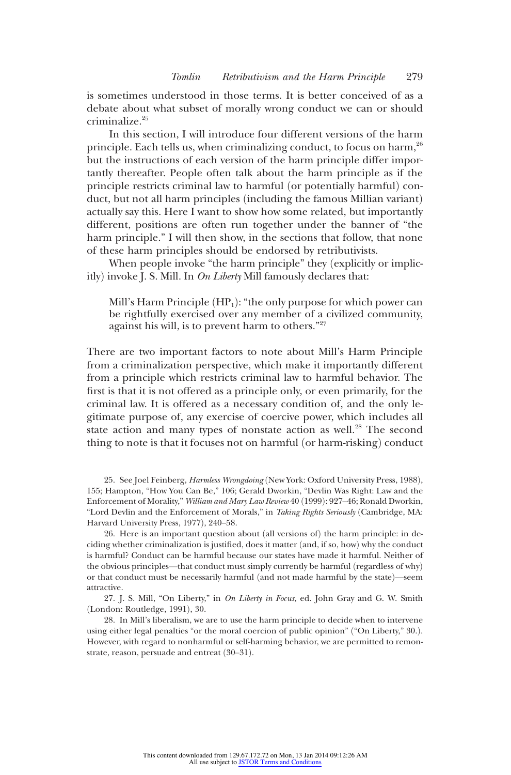is sometimes understood in those terms. It is better conceived of as a debate about what subset of morally wrong conduct we can or should criminalize.25

In this section, I will introduce four different versions of the harm principle. Each tells us, when criminalizing conduct, to focus on harm,  $26$ but the instructions of each version of the harm principle differ importantly thereafter. People often talk about the harm principle as if the principle restricts criminal law to harmful (or potentially harmful) conduct, but not all harm principles (including the famous Millian variant) actually say this. Here I want to show how some related, but importantly different, positions are often run together under the banner of "the harm principle." I will then show, in the sections that follow, that none of these harm principles should be endorsed by retributivists.

When people invoke "the harm principle" they (explicitly or implicitly) invoke J. S. Mill. In *On Liberty* Mill famously declares that:

Mill's Harm Principle  $(HP_1)$ : "the only purpose for which power can be rightfully exercised over any member of a civilized community, against his will, is to prevent harm to others."<sup>27</sup>

There are two important factors to note about Mill's Harm Principle from a criminalization perspective, which make it importantly different from a principle which restricts criminal law to harmful behavior. The first is that it is not offered as a principle only, or even primarily, for the criminal law. It is offered as a necessary condition of, and the only legitimate purpose of, any exercise of coercive power, which includes all state action and many types of nonstate action as well.<sup>28</sup> The second thing to note is that it focuses not on harmful (or harm-risking) conduct

25. See Joel Feinberg, Harmless Wrongdoing (New York: Oxford University Press, 1988), 155; Hampton, "How You Can Be," 106; Gerald Dworkin, "Devlin Was Right: Law and the Enforcement of Morality," William and Mary Law Review 40 (1999): 927-46; Ronald Dworkin, "Lord Devlin and the Enforcement of Morals," in Taking Rights Seriously (Cambridge, MA: Harvard University Press, 1977), 240–58.

26. Here is an important question about (all versions of) the harm principle: in deciding whether criminalization is justified, does it matter (and, if so, how) why the conduct is harmful? Conduct can be harmful because our states have made it harmful. Neither of the obvious principles—that conduct must simply currently be harmful (regardless of why) or that conduct must be necessarily harmful (and not made harmful by the state)—seem attractive.

27. J. S. Mill, "On Liberty," in On Liberty in Focus, ed. John Gray and G. W. Smith (London: Routledge, 1991), 30.

28. In Mill's liberalism, we are to use the harm principle to decide when to intervene using either legal penalties "or the moral coercion of public opinion" ("On Liberty," 30.). However, with regard to nonharmful or self-harming behavior, we are permitted to remonstrate, reason, persuade and entreat  $(30-31)$ .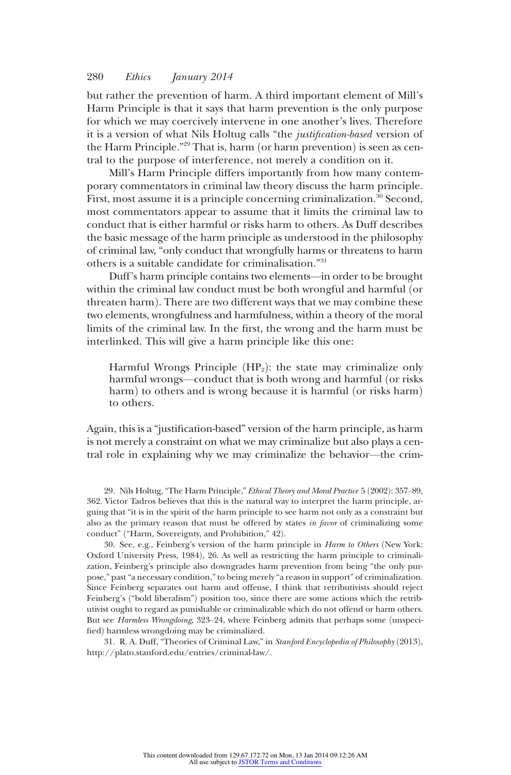but rather the prevention of harm. A third important element of Mill's Harm Principle is that it says that harm prevention is the only purpose for which we may coercively intervene in one another's lives. Therefore it is a version of what Nils Holtug calls "the justification-based version of the Harm Principle."<sup>29</sup> That is, harm (or harm prevention) is seen as central to the purpose of interference, not merely a condition on it.

Mill's Harm Principle differs importantly from how many contemporary commentators in criminal law theory discuss the harm principle. First, most assume it is a principle concerning criminalization.<sup>30</sup> Second, most commentators appear to assume that it limits the criminal law to conduct that is either harmful or risks harm to others. As Duff describes the basic message of the harm principle as understood in the philosophy of criminal law, "only conduct that wrongfully harms or threatens to harm others is a suitable candidate for criminalisation."31

Duff's harm principle contains two elements—in order to be brought within the criminal law conduct must be both wrongful and harmful (or threaten harm). There are two different ways that we may combine these two elements, wrongfulness and harmfulness, within a theory of the moral limits of the criminal law. In the first, the wrong and the harm must be interlinked. This will give a harm principle like this one:

Harmful Wrongs Principle  $(HP_2)$ : the state may criminalize only harmful wrongs—conduct that is both wrong and harmful (or risks harm) to others and is wrong because it is harmful (or risks harm) to others.

Again, this is a "justification-based" version of the harm principle, as harm is not merely a constraint on what we may criminalize but also plays a central role in explaining why we may criminalize the behavior—the crim-

29. Nils Holtug, "The Harm Principle," Ethical Theory and Moral Practice 5 (2002): 357–89, 362. Victor Tadros believes that this is the natural way to interpret the harm principle, arguing that "it is in the spirit of the harm principle to see harm not only as a constraint but also as the primary reason that must be offered by states in favor of criminalizing some conduct" ("Harm, Sovereignty, and Prohibition," 42).

30. See, e.g., Feinberg's version of the harm principle in  $Harm$  to Others (New York: Oxford University Press, 1984), 26. As well as restricting the harm principle to criminalization, Feinberg's principle also downgrades harm prevention from being "the only purpose," past "a necessary condition," to being merely "a reason in support" of criminalization. Since Feinberg separates out harm and offense, I think that retributivists should reject Feinberg's ("bold liberalism") position too, since there are some actions which the retributivist ought to regard as punishable or criminalizable which do not offend or harm others. But see Harmless Wrongdoing, 323–24, where Feinberg admits that perhaps some (unspecified) harmless wrongdoing may be criminalized.

31. R. A. Duff, "Theories of Criminal Law," in Stanford Encyclopedia of Philosophy (2013), http://plato.stanford.edu/entries/criminal-law/.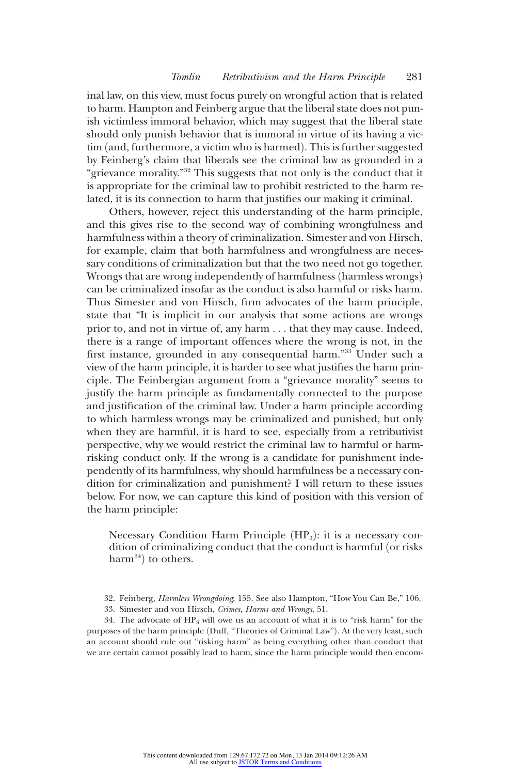inal law, on this view, must focus purely on wrongful action that is related to harm. Hampton and Feinberg argue that the liberal state does not punish victimless immoral behavior, which may suggest that the liberal state should only punish behavior that is immoral in virtue of its having a victim (and, furthermore, a victim who is harmed). This is further suggested by Feinberg's claim that liberals see the criminal law as grounded in a "grievance morality."32 This suggests that not only is the conduct that it is appropriate for the criminal law to prohibit restricted to the harm related, it is its connection to harm that justifies our making it criminal.

Others, however, reject this understanding of the harm principle, and this gives rise to the second way of combining wrongfulness and harmfulness within a theory of criminalization. Simester and von Hirsch, for example, claim that both harmfulness and wrongfulness are necessary conditions of criminalization but that the two need not go together. Wrongs that are wrong independently of harmfulness (harmless wrongs) can be criminalized insofar as the conduct is also harmful or risks harm. Thus Simester and von Hirsch, firm advocates of the harm principle, state that "It is implicit in our analysis that some actions are wrongs prior to, and not in virtue of, any harm ... that they may cause. Indeed, there is a range of important offences where the wrong is not, in the first instance, grounded in any consequential harm."<sup>33</sup> Under such a view of the harm principle, it is harder to see what justifies the harm principle. The Feinbergian argument from a "grievance morality" seems to justify the harm principle as fundamentally connected to the purpose and justification of the criminal law. Under a harm principle according to which harmless wrongs may be criminalized and punished, but only when they are harmful, it is hard to see, especially from a retributivist perspective, why we would restrict the criminal law to harmful or harmrisking conduct only. If the wrong is a candidate for punishment independently of its harmfulness, why should harmfulness be a necessary condition for criminalization and punishment? I will return to these issues below. For now, we can capture this kind of position with this version of the harm principle:

Necessary Condition Harm Principle  $(HP_3)$ : it is a necessary condition of criminalizing conduct that the conduct is harmful (or risks) harm $^{34}$ ) to others.

34. The advocate of  $HP_3$  will owe us an account of what it is to "risk harm" for the purposes of the harm principle (Duff, "Theories of Criminal Law"). At the very least, such an account should rule out "risking harm" as being everything other than conduct that we are certain cannot possibly lead to harm, since the harm principle would then encom-

<sup>32.</sup> Feinberg, Harmless Wrongdoing, 155. See also Hampton, "How You Can Be," 106.

<sup>33.</sup> Simester and von Hirsch, Crimes, Harms and Wrongs, 51.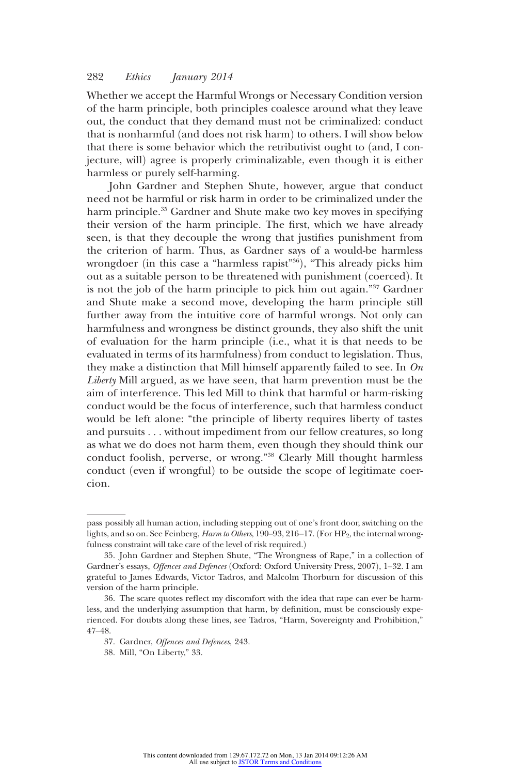Whether we accept the Harmful Wrongs or Necessary Condition version of the harm principle, both principles coalesce around what they leave out, the conduct that they demand must not be criminalized: conduct that is nonharmful (and does not risk harm) to others. I will show below that there is some behavior which the retributivist ought to (and, I conjecture, will) agree is properly criminalizable, even though it is either harmless or purely self-harming.

John Gardner and Stephen Shute, however, argue that conduct need not be harmful or risk harm in order to be criminalized under the harm principle.<sup>35</sup> Gardner and Shute make two key moves in specifying their version of the harm principle. The first, which we have already seen, is that they decouple the wrong that justifies punishment from the criterion of harm. Thus, as Gardner says of a would-be harmless wrongdoer (in this case a "harmless rapist" $36$ ), "This already picks him out as a suitable person to be threatened with punishment (coerced). It is not the job of the harm principle to pick him out again."<sup>37</sup> Gardner and Shute make a second move, developing the harm principle still further away from the intuitive core of harmful wrongs. Not only can harmfulness and wrongness be distinct grounds, they also shift the unit of evaluation for the harm principle ði.e., what it is that needs to be evaluated in terms of its harmfulness) from conduct to legislation. Thus, they make a distinction that Mill himself apparently failed to see. In On Liberty Mill argued, as we have seen, that harm prevention must be the aim of interference. This led Mill to think that harmful or harm-risking conduct would be the focus of interference, such that harmless conduct would be left alone: "the principle of liberty requires liberty of tastes and pursuits ... without impediment from our fellow creatures, so long as what we do does not harm them, even though they should think our conduct foolish, perverse, or wrong."<sup>38</sup> Clearly Mill thought harmless conduct (even if wrongful) to be outside the scope of legitimate coercion.

pass possibly all human action, including stepping out of one's front door, switching on the lights, and so on. See Feinberg, *Harm to Others*, 190–93, 216–17. (For HP<sub>2</sub>, the internal wrongfulness constraint will take care of the level of risk required.)

<sup>35.</sup> John Gardner and Stephen Shute, "The Wrongness of Rape," in a collection of Gardner's essays, *Offences and Defences* (Oxford: Oxford University Press, 2007), 1–32. I am grateful to James Edwards, Victor Tadros, and Malcolm Thorburn for discussion of this version of the harm principle.

<sup>36.</sup> The scare quotes reflect my discomfort with the idea that rape can ever be harmless, and the underlying assumption that harm, by definition, must be consciously experienced. For doubts along these lines, see Tadros, "Harm, Sovereignty and Prohibition," 47–48.

<sup>37.</sup> Gardner, Offences and Defences, 243.

<sup>38.</sup> Mill, "On Liberty," 33.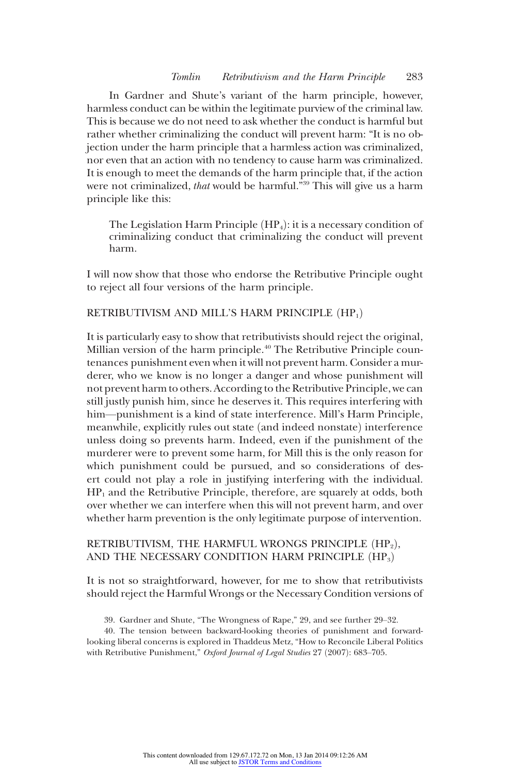In Gardner and Shute's variant of the harm principle, however, harmless conduct can be within the legitimate purview of the criminal law. This is because we do not need to ask whether the conduct is harmful but rather whether criminalizing the conduct will prevent harm: "It is no objection under the harm principle that a harmless action was criminalized, nor even that an action with no tendency to cause harm was criminalized. It is enough to meet the demands of the harm principle that, if the action were not criminalized, that would be harmful.<sup>"39</sup> This will give us a harm principle like this:

The Legislation Harm Principle  $(HP<sub>4</sub>)$ : it is a necessary condition of criminalizing conduct that criminalizing the conduct will prevent harm.

I will now show that those who endorse the Retributive Principle ought to reject all four versions of the harm principle.

## RETRIBUTIVISM AND MILL'S HARM PRINCIPLE (HP1)

It is particularly easy to show that retributivists should reject the original, Millian version of the harm principle.<sup>40</sup> The Retributive Principle countenances punishment even when it will not prevent harm. Consider a murderer, who we know is no longer a danger and whose punishment will not prevent harm to others. According to the Retributive Principle, we can still justly punish him, since he deserves it. This requires interfering with him—punishment is a kind of state interference. Mill's Harm Principle, meanwhile, explicitly rules out state (and indeed nonstate) interference unless doing so prevents harm. Indeed, even if the punishment of the murderer were to prevent some harm, for Mill this is the only reason for which punishment could be pursued, and so considerations of desert could not play a role in justifying interfering with the individual.  $HP<sub>1</sub>$  and the Retributive Principle, therefore, are squarely at odds, both over whether we can interfere when this will not prevent harm, and over whether harm prevention is the only legitimate purpose of intervention.

## RETRIBUTIVISM, THE HARMFUL WRONGS PRINCIPLE  $(HP_2)$ , AND THE NECESSARY CONDITION HARM PRINCIPLE  $(HP_3)$

It is not so straightforward, however, for me to show that retributivists should reject the Harmful Wrongs or the Necessary Condition versions of

<sup>39.</sup> Gardner and Shute, "The Wrongness of Rape," 29, and see further 29–32.

<sup>40.</sup> The tension between backward-looking theories of punishment and forwardlooking liberal concerns is explored in Thaddeus Metz, "How to Reconcile Liberal Politics with Retributive Punishment," Oxford Journal of Legal Studies 27 (2007): 683-705.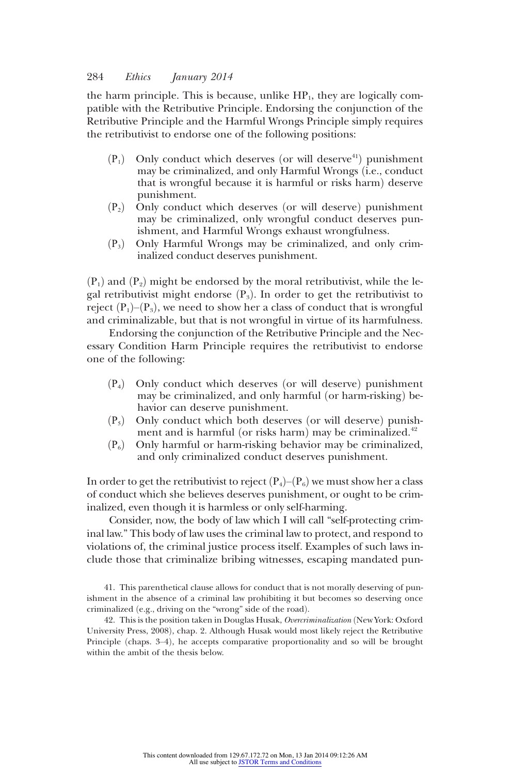the harm principle. This is because, unlike  $HP_1$ , they are logically compatible with the Retributive Principle. Endorsing the conjunction of the Retributive Principle and the Harmful Wrongs Principle simply requires the retributivist to endorse one of the following positions:

- $(P_1)$  Only conduct which deserves (or will deserve<sup>41</sup>) punishment may be criminalized, and only Harmful Wrongs (i.e., conduct that is wrongful because it is harmful or risks harm) deserve punishment.
- $(P_2)$  Only conduct which deserves (or will deserve) punishment may be criminalized, only wrongful conduct deserves punishment, and Harmful Wrongs exhaust wrongfulness.
- $(P_3)$  Only Harmful Wrongs may be criminalized, and only criminalized conduct deserves punishment.

 $(P_1)$  and  $(P_2)$  might be endorsed by the moral retributivist, while the legal retributivist might endorse  $(P_3)$ . In order to get the retributivist to reject  $(P_1)$ – $(P_3)$ , we need to show her a class of conduct that is wrongful and criminalizable, but that is not wrongful in virtue of its harmfulness.

Endorsing the conjunction of the Retributive Principle and the Necessary Condition Harm Principle requires the retributivist to endorse one of the following:

- $(P_4)$  Only conduct which deserves (or will deserve) punishment may be criminalized, and only harmful (or harm-risking) behavior can deserve punishment.
- $(P_5)$  Only conduct which both deserves (or will deserve) punishment and is harmful (or risks harm) may be criminalized. $42$
- $(P_6)$  Only harmful or harm-risking behavior may be criminalized, and only criminalized conduct deserves punishment.

In order to get the retributivist to reject  $(P_4)$ – $(P_6)$  we must show her a class of conduct which she believes deserves punishment, or ought to be criminalized, even though it is harmless or only self-harming.

Consider, now, the body of law which I will call "self-protecting criminal law." This body of law uses the criminal law to protect, and respond to violations of, the criminal justice process itself. Examples of such laws include those that criminalize bribing witnesses, escaping mandated pun-

41. This parenthetical clause allows for conduct that is not morally deserving of punishment in the absence of a criminal law prohibiting it but becomes so deserving once criminalized (e.g., driving on the "wrong" side of the road).

42. This is the position taken in Douglas Husak, Overcriminalization (New York: Oxford University Press, 2008), chap. 2. Although Husak would most likely reject the Retributive Principle (chaps. 3–4), he accepts comparative proportionality and so will be brought within the ambit of the thesis below.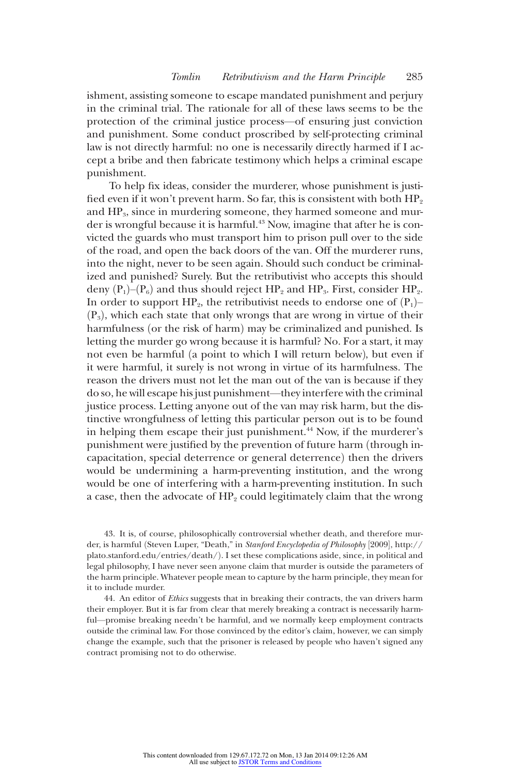ishment, assisting someone to escape mandated punishment and perjury in the criminal trial. The rationale for all of these laws seems to be the protection of the criminal justice process—of ensuring just conviction and punishment. Some conduct proscribed by self-protecting criminal law is not directly harmful: no one is necessarily directly harmed if I accept a bribe and then fabricate testimony which helps a criminal escape punishment.

To help fix ideas, consider the murderer, whose punishment is justified even if it won't prevent harm. So far, this is consistent with both  $HP_2$ and  $HP_3$ , since in murdering someone, they harmed someone and murder is wrongful because it is harmful.<sup>43</sup> Now, imagine that after he is convicted the guards who must transport him to prison pull over to the side of the road, and open the back doors of the van. Off the murderer runs, into the night, never to be seen again. Should such conduct be criminalized and punished? Surely. But the retributivist who accepts this should deny  $(P_1)$ – $(P_6)$  and thus should reject HP<sub>2</sub> and HP<sub>3</sub>. First, consider HP<sub>2</sub>. In order to support HP<sub>2</sub>, the retributivist needs to endorse one of  $(P_1)$ –  $(P_3)$ , which each state that only wrongs that are wrong in virtue of their harmfulness (or the risk of harm) may be criminalized and punished. Is letting the murder go wrong because it is harmful? No. For a start, it may not even be harmful (a point to which I will return below), but even if it were harmful, it surely is not wrong in virtue of its harmfulness. The reason the drivers must not let the man out of the van is because if they do so, he will escape his just punishment—they interfere with the criminal justice process. Letting anyone out of the van may risk harm, but the distinctive wrongfulness of letting this particular person out is to be found in helping them escape their just punishment.<sup>44</sup> Now, if the murderer's punishment were justified by the prevention of future harm (through incapacitation, special deterrence or general deterrence) then the drivers would be undermining a harm-preventing institution, and the wrong would be one of interfering with a harm-preventing institution. In such a case, then the advocate of  $HP_2$  could legitimately claim that the wrong

43. It is, of course, philosophically controversial whether death, and therefore murder, is harmful (Steven Luper, "Death," in Stanford Encyclopedia of Philosophy [2009], http:// plato.stanford.edu/entries/death/). I set these complications aside, since, in political and legal philosophy, I have never seen anyone claim that murder is outside the parameters of the harm principle. Whatever people mean to capture by the harm principle, they mean for it to include murder.

44. An editor of Ethics suggests that in breaking their contracts, the van drivers harm their employer. But it is far from clear that merely breaking a contract is necessarily harmful—promise breaking needn't be harmful, and we normally keep employment contracts outside the criminal law. For those convinced by the editor's claim, however, we can simply change the example, such that the prisoner is released by people who haven't signed any contract promising not to do otherwise.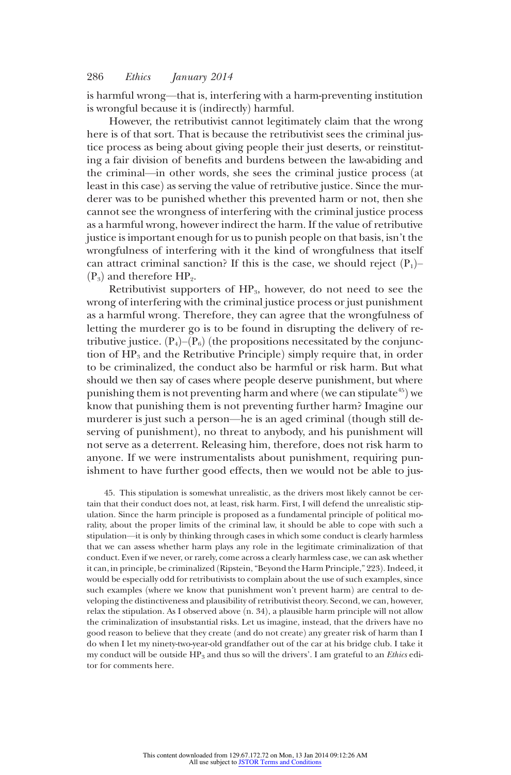is harmful wrong—that is, interfering with a harm-preventing institution is wrongful because it is (indirectly) harmful.

However, the retributivist cannot legitimately claim that the wrong here is of that sort. That is because the retributivist sees the criminal justice process as being about giving people their just deserts, or reinstituting a fair division of benefits and burdens between the law-abiding and the criminal—in other words, she sees the criminal justice process (at least in this case) as serving the value of retributive justice. Since the murderer was to be punished whether this prevented harm or not, then she cannot see the wrongness of interfering with the criminal justice process as a harmful wrong, however indirect the harm. If the value of retributive justice is important enough for us to punish people on that basis, isn't the wrongfulness of interfering with it the kind of wrongfulness that itself can attract criminal sanction? If this is the case, we should reject  $(P_1)$ –  $(P_3)$  and therefore  $HP_2$ .

Retributivist supporters of  $HP_3$ , however, do not need to see the wrong of interfering with the criminal justice process or just punishment as a harmful wrong. Therefore, they can agree that the wrongfulness of letting the murderer go is to be found in disrupting the delivery of retributive justice.  $(P_4)$ – $(P_6)$  (the propositions necessitated by the conjunction of  $HP_3$  and the Retributive Principle) simply require that, in order to be criminalized, the conduct also be harmful or risk harm. But what should we then say of cases where people deserve punishment, but where punishing them is not preventing harm and where (we can stipulate  $45$ ) we know that punishing them is not preventing further harm? Imagine our murderer is just such a person—he is an aged criminal (though still deserving of punishment), no threat to anybody, and his punishment will not serve as a deterrent. Releasing him, therefore, does not risk harm to anyone. If we were instrumentalists about punishment, requiring punishment to have further good effects, then we would not be able to jus-

45. This stipulation is somewhat unrealistic, as the drivers most likely cannot be certain that their conduct does not, at least, risk harm. First, I will defend the unrealistic stipulation. Since the harm principle is proposed as a fundamental principle of political morality, about the proper limits of the criminal law, it should be able to cope with such a stipulation—it is only by thinking through cases in which some conduct is clearly harmless that we can assess whether harm plays any role in the legitimate criminalization of that conduct. Even if we never, or rarely, come across a clearly harmless case, we can ask whether it can, in principle, be criminalized (Ripstein, "Beyond the Harm Principle," 223). Indeed, it would be especially odd for retributivists to complain about the use of such examples, since such examples (where we know that punishment won't prevent harm) are central to developing the distinctiveness and plausibility of retributivist theory. Second, we can, however, relax the stipulation. As I observed above  $(n. 34)$ , a plausible harm principle will not allow the criminalization of insubstantial risks. Let us imagine, instead, that the drivers have no good reason to believe that they create (and do not create) any greater risk of harm than I do when I let my ninety-two-year-old grandfather out of the car at his bridge club. I take it my conduct will be outside  $HP_3$  and thus so will the drivers'. I am grateful to an *Ethics* editor for comments here.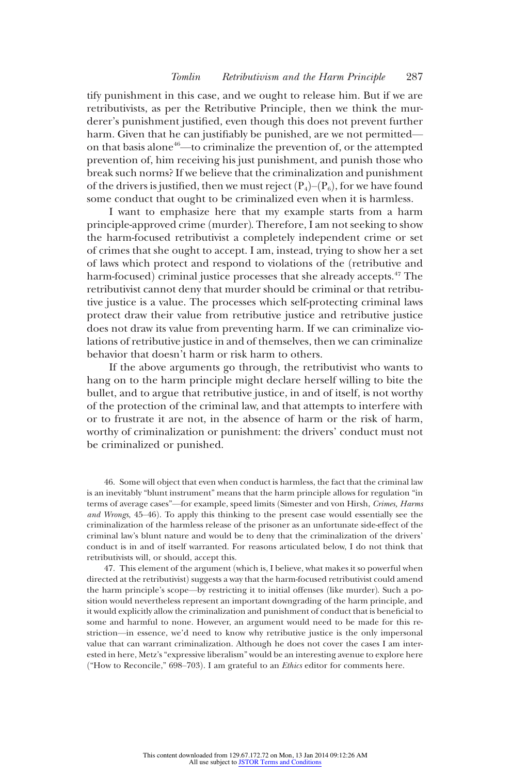tify punishment in this case, and we ought to release him. But if we are retributivists, as per the Retributive Principle, then we think the murderer's punishment justified, even though this does not prevent further harm. Given that he can justifiably be punished, are we not permitted on that basis alone<sup>46</sup>—to criminalize the prevention of, or the attempted prevention of, him receiving his just punishment, and punish those who break such norms? If we believe that the criminalization and punishment of the drivers is justified, then we must reject  $(P_4)$ – $(P_6)$ , for we have found some conduct that ought to be criminalized even when it is harmless.

I want to emphasize here that my example starts from a harm principle-approved crime (murder). Therefore, I am not seeking to show the harm-focused retributivist a completely independent crime or set of crimes that she ought to accept. I am, instead, trying to show her a set of laws which protect and respond to violations of the (retributive and harm-focused) criminal justice processes that she already accepts.<sup>47</sup> The retributivist cannot deny that murder should be criminal or that retributive justice is a value. The processes which self-protecting criminal laws protect draw their value from retributive justice and retributive justice does not draw its value from preventing harm. If we can criminalize violations of retributive justice in and of themselves, then we can criminalize behavior that doesn't harm or risk harm to others.

If the above arguments go through, the retributivist who wants to hang on to the harm principle might declare herself willing to bite the bullet, and to argue that retributive justice, in and of itself, is not worthy of the protection of the criminal law, and that attempts to interfere with or to frustrate it are not, in the absence of harm or the risk of harm, worthy of criminalization or punishment: the drivers' conduct must not be criminalized or punished.

46. Some will object that even when conduct is harmless, the fact that the criminal law is an inevitably "blunt instrument" means that the harm principle allows for regulation "in terms of average cases"—for example, speed limits (Simester and von Hirsh, Crimes, Harms and Wrongs, 45-46). To apply this thinking to the present case would essentially see the criminalization of the harmless release of the prisoner as an unfortunate side-effect of the criminal law's blunt nature and would be to deny that the criminalization of the drivers' conduct is in and of itself warranted. For reasons articulated below, I do not think that retributivists will, or should, accept this.

47. This element of the argument (which is, I believe, what makes it so powerful when directed at the retributivist) suggests a way that the harm-focused retributivist could amend the harm principle's scope—by restricting it to initial offenses (like murder). Such a position would nevertheless represent an important downgrading of the harm principle, and it would explicitly allow the criminalization and punishment of conduct that is beneficial to some and harmful to none. However, an argument would need to be made for this restriction—in essence, we'd need to know why retributive justice is the only impersonal value that can warrant criminalization. Although he does not cover the cases I am interested in here, Metz's "expressive liberalism" would be an interesting avenue to explore here ("How to Reconcile,"  $698-703$ ). I am grateful to an *Ethics* editor for comments here.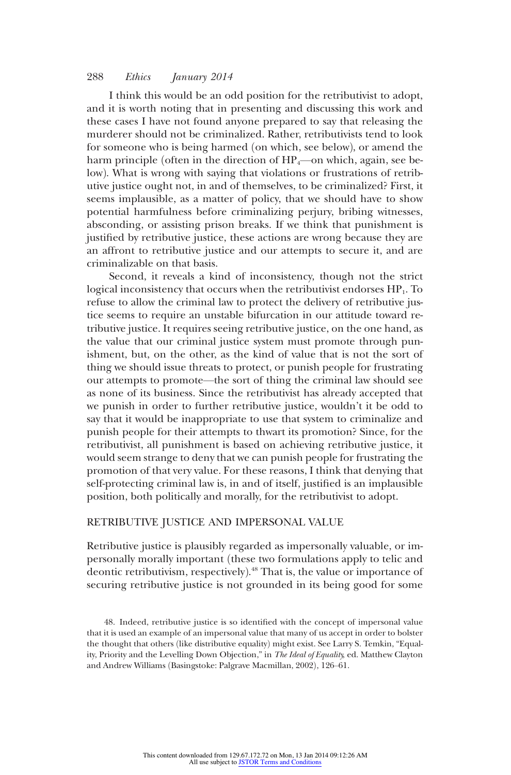I think this would be an odd position for the retributivist to adopt, and it is worth noting that in presenting and discussing this work and these cases I have not found anyone prepared to say that releasing the murderer should not be criminalized. Rather, retributivists tend to look for someone who is being harmed (on which, see below), or amend the harm principle (often in the direction of  $HP_4$ —on which, again, see below). What is wrong with saying that violations or frustrations of retributive justice ought not, in and of themselves, to be criminalized? First, it seems implausible, as a matter of policy, that we should have to show potential harmfulness before criminalizing perjury, bribing witnesses, absconding, or assisting prison breaks. If we think that punishment is justified by retributive justice, these actions are wrong because they are an affront to retributive justice and our attempts to secure it, and are criminalizable on that basis.

Second, it reveals a kind of inconsistency, though not the strict logical inconsistency that occurs when the retributivist endorses  $HP_1$ . To refuse to allow the criminal law to protect the delivery of retributive justice seems to require an unstable bifurcation in our attitude toward retributive justice. It requires seeing retributive justice, on the one hand, as the value that our criminal justice system must promote through punishment, but, on the other, as the kind of value that is not the sort of thing we should issue threats to protect, or punish people for frustrating our attempts to promote—the sort of thing the criminal law should see as none of its business. Since the retributivist has already accepted that we punish in order to further retributive justice, wouldn't it be odd to say that it would be inappropriate to use that system to criminalize and punish people for their attempts to thwart its promotion? Since, for the retributivist, all punishment is based on achieving retributive justice, it would seem strange to deny that we can punish people for frustrating the promotion of that very value. For these reasons, I think that denying that self-protecting criminal law is, in and of itself, justified is an implausible position, both politically and morally, for the retributivist to adopt.

## RETRIBUTIVE JUSTICE AND IMPERSONAL VALUE

Retributive justice is plausibly regarded as impersonally valuable, or impersonally morally important (these two formulations apply to telic and deontic retributivism, respectively).<sup>48</sup> That is, the value or importance of securing retributive justice is not grounded in its being good for some

<sup>48.</sup> Indeed, retributive justice is so identified with the concept of impersonal value that it is used an example of an impersonal value that many of us accept in order to bolster the thought that others (like distributive equality) might exist. See Larry S. Temkin, "Equality, Priority and the Levelling Down Objection," in The Ideal of Equality, ed. Matthew Clayton and Andrew Williams (Basingstoke: Palgrave Macmillan, 2002), 126–61.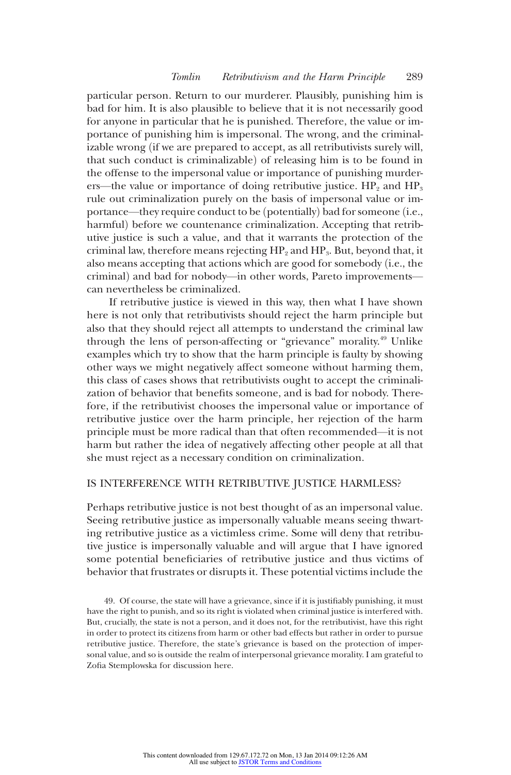particular person. Return to our murderer. Plausibly, punishing him is bad for him. It is also plausible to believe that it is not necessarily good for anyone in particular that he is punished. Therefore, the value or importance of punishing him is impersonal. The wrong, and the criminalizable wrong (if we are prepared to accept, as all retributivists surely will, that such conduct is criminalizable) of releasing him is to be found in the offense to the impersonal value or importance of punishing murderers—the value or importance of doing retributive justice.  $HP_2$  and  $HP_3$ rule out criminalization purely on the basis of impersonal value or importance—they require conduct to be (potentially) bad for someone (i.e., harmful) before we countenance criminalization. Accepting that retributive justice is such a value, and that it warrants the protection of the criminal law, therefore means rejecting  $HP_2$  and  $HP_3$ . But, beyond that, it also means accepting that actions which are good for somebody (i.e., the criminal) and bad for nobody—in other words, Pareto improvements can nevertheless be criminalized.

If retributive justice is viewed in this way, then what I have shown here is not only that retributivists should reject the harm principle but also that they should reject all attempts to understand the criminal law through the lens of person-affecting or "grievance" morality.<sup>49</sup> Unlike examples which try to show that the harm principle is faulty by showing other ways we might negatively affect someone without harming them, this class of cases shows that retributivists ought to accept the criminalization of behavior that benefits someone, and is bad for nobody. Therefore, if the retributivist chooses the impersonal value or importance of retributive justice over the harm principle, her rejection of the harm principle must be more radical than that often recommended—it is not harm but rather the idea of negatively affecting other people at all that she must reject as a necessary condition on criminalization.

## IS INTERFERENCE WITH RETRIBUTIVE JUSTICE HARMLESS?

Perhaps retributive justice is not best thought of as an impersonal value. Seeing retributive justice as impersonally valuable means seeing thwarting retributive justice as a victimless crime. Some will deny that retributive justice is impersonally valuable and will argue that I have ignored some potential beneficiaries of retributive justice and thus victims of behavior that frustrates or disrupts it. These potential victims include the

49. Of course, the state will have a grievance, since if it is justifiably punishing, it must have the right to punish, and so its right is violated when criminal justice is interfered with. But, crucially, the state is not a person, and it does not, for the retributivist, have this right in order to protect its citizens from harm or other bad effects but rather in order to pursue retributive justice. Therefore, the state's grievance is based on the protection of impersonal value, and so is outside the realm of interpersonal grievance morality. I am grateful to Zofia Stemplowska for discussion here.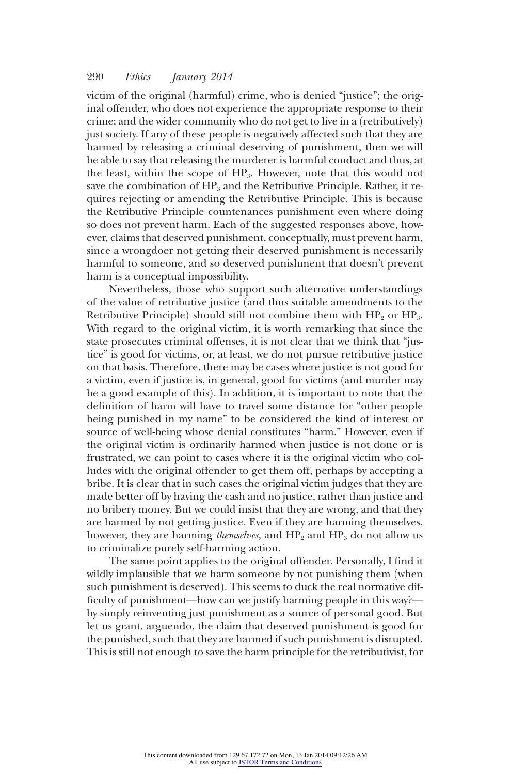victim of the original (harmful) crime, who is denied "justice"; the original offender, who does not experience the appropriate response to their crime; and the wider community who do not get to live in a  $(retributively)$ just society. If any of these people is negatively affected such that they are harmed by releasing a criminal deserving of punishment, then we will be able to say that releasing the murderer is harmful conduct and thus, at the least, within the scope of  $HP_3$ . However, note that this would not save the combination of  $HP_3$  and the Retributive Principle. Rather, it requires rejecting or amending the Retributive Principle. This is because the Retributive Principle countenances punishment even where doing so does not prevent harm. Each of the suggested responses above, however, claims that deserved punishment, conceptually, must prevent harm, since a wrongdoer not getting their deserved punishment is necessarily harmful to someone, and so deserved punishment that doesn't prevent harm is a conceptual impossibility.

Nevertheless, those who support such alternative understandings of the value of retributive justice (and thus suitable amendments to the Retributive Principle) should still not combine them with  $HP_2$  or  $HP_3$ . With regard to the original victim, it is worth remarking that since the state prosecutes criminal offenses, it is not clear that we think that "justice" is good for victims, or, at least, we do not pursue retributive justice on that basis. Therefore, there may be cases where justice is not good for a victim, even if justice is, in general, good for victims (and murder may be a good example of this). In addition, it is important to note that the definition of harm will have to travel some distance for "other people being punished in my name" to be considered the kind of interest or source of well-being whose denial constitutes "harm." However, even if the original victim is ordinarily harmed when justice is not done or is frustrated, we can point to cases where it is the original victim who colludes with the original offender to get them off, perhaps by accepting a bribe. It is clear that in such cases the original victim judges that they are made better off by having the cash and no justice, rather than justice and no bribery money. But we could insist that they are wrong, and that they are harmed by not getting justice. Even if they are harming themselves, however, they are harming *themselves*, and  $HP_2$  and  $HP_3$  do not allow us to criminalize purely self-harming action.

The same point applies to the original offender. Personally, I find it wildly implausible that we harm someone by not punishing them (when such punishment is deserved). This seems to duck the real normative difficulty of punishment—how can we justify harming people in this way? by simply reinventing just punishment as a source of personal good. But let us grant, arguendo, the claim that deserved punishment is good for the punished, such that they are harmed if such punishment is disrupted. This is still not enough to save the harm principle for the retributivist, for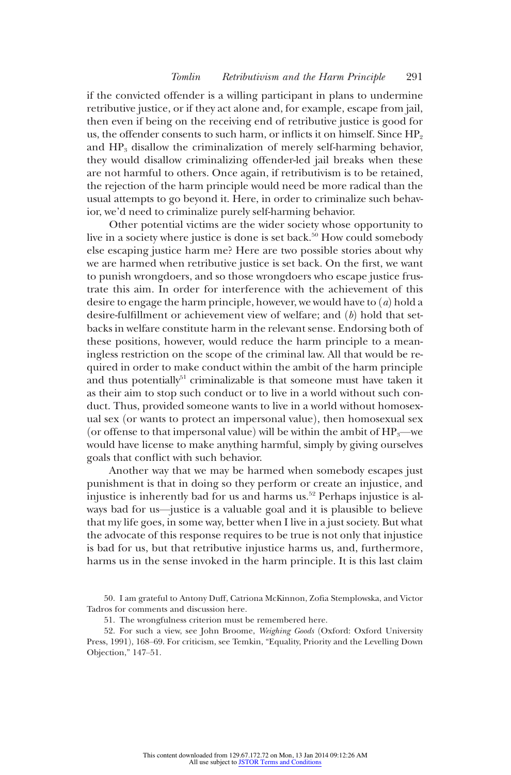if the convicted offender is a willing participant in plans to undermine retributive justice, or if they act alone and, for example, escape from jail, then even if being on the receiving end of retributive justice is good for us, the offender consents to such harm, or inflicts it on himself. Since HP<sub>2</sub> and  $HP_3$  disallow the criminalization of merely self-harming behavior, they would disallow criminalizing offender-led jail breaks when these are not harmful to others. Once again, if retributivism is to be retained, the rejection of the harm principle would need be more radical than the usual attempts to go beyond it. Here, in order to criminalize such behavior, we'd need to criminalize purely self-harming behavior.

Other potential victims are the wider society whose opportunity to live in a society where justice is done is set back.<sup>50</sup> How could somebody else escaping justice harm me? Here are two possible stories about why we are harmed when retributive justice is set back. On the first, we want to punish wrongdoers, and so those wrongdoers who escape justice frustrate this aim. In order for interference with the achievement of this desire to engage the harm principle, however, we would have to  $(a)$  hold a desire-fulfillment or achievement view of welfare; and  $(b)$  hold that setbacks in welfare constitute harm in the relevant sense. Endorsing both of these positions, however, would reduce the harm principle to a meaningless restriction on the scope of the criminal law. All that would be required in order to make conduct within the ambit of the harm principle and thus potentially<sup>51</sup> criminalizable is that someone must have taken it as their aim to stop such conduct or to live in a world without such conduct. Thus, provided someone wants to live in a world without homosexual sex (or wants to protect an impersonal value), then homosexual sex (or offense to that impersonal value) will be within the ambit of  $HP_3$ —we would have license to make anything harmful, simply by giving ourselves goals that conflict with such behavior.

Another way that we may be harmed when somebody escapes just punishment is that in doing so they perform or create an injustice, and injustice is inherently bad for us and harms us.<sup>52</sup> Perhaps injustice is always bad for us—justice is a valuable goal and it is plausible to believe that my life goes, in some way, better when I live in a just society. But what the advocate of this response requires to be true is not only that injustice is bad for us, but that retributive injustice harms us, and, furthermore, harms us in the sense invoked in the harm principle. It is this last claim

<sup>50.</sup> I am grateful to Antony Duff, Catriona McKinnon, Zofia Stemplowska, and Victor Tadros for comments and discussion here.

<sup>51.</sup> The wrongfulness criterion must be remembered here.

<sup>52.</sup> For such a view, see John Broome, Weighing Goods (Oxford: Oxford University Press, 1991), 168–69. For criticism, see Temkin, "Equality, Priority and the Levelling Down Objection," 147–51.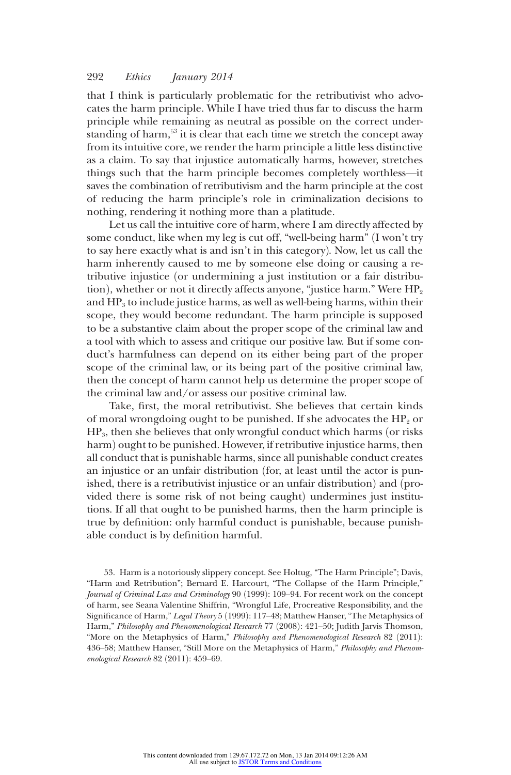that I think is particularly problematic for the retributivist who advocates the harm principle. While I have tried thus far to discuss the harm principle while remaining as neutral as possible on the correct understanding of harm,<sup>53</sup> it is clear that each time we stretch the concept away from its intuitive core, we render the harm principle a little less distinctive as a claim. To say that injustice automatically harms, however, stretches things such that the harm principle becomes completely worthless—it saves the combination of retributivism and the harm principle at the cost of reducing the harm principle's role in criminalization decisions to nothing, rendering it nothing more than a platitude.

Let us call the intuitive core of harm, where I am directly affected by some conduct, like when my leg is cut off, "well-being harm" (I won't try to say here exactly what is and isn't in this category). Now, let us call the harm inherently caused to me by someone else doing or causing a retributive injustice (or undermining a just institution or a fair distribution), whether or not it directly affects anyone, "justice harm." Were  $HP_2$ and  $HP_3$  to include justice harms, as well as well-being harms, within their scope, they would become redundant. The harm principle is supposed to be a substantive claim about the proper scope of the criminal law and a tool with which to assess and critique our positive law. But if some conduct's harmfulness can depend on its either being part of the proper scope of the criminal law, or its being part of the positive criminal law, then the concept of harm cannot help us determine the proper scope of the criminal law and/or assess our positive criminal law.

Take, first, the moral retributivist. She believes that certain kinds of moral wrongdoing ought to be punished. If she advocates the  $HP_2$  or  $HP<sub>3</sub>$ , then she believes that only wrongful conduct which harms (or risks harm) ought to be punished. However, if retributive injustice harms, then all conduct that is punishable harms, since all punishable conduct creates an injustice or an unfair distribution (for, at least until the actor is punished, there is a retributivist injustice or an unfair distribution) and (provided there is some risk of not being caught) undermines just institutions. If all that ought to be punished harms, then the harm principle is true by definition: only harmful conduct is punishable, because punishable conduct is by definition harmful.

53. Harm is a notoriously slippery concept. See Holtug, "The Harm Principle"; Davis, "Harm and Retribution"; Bernard E. Harcourt, "The Collapse of the Harm Principle," Journal of Criminal Law and Criminology 90 (1999): 109-94. For recent work on the concept of harm, see Seana Valentine Shiffrin, "Wrongful Life, Procreative Responsibility, and the Significance of Harm," Legal Theory 5 (1999): 117-48; Matthew Hanser, "The Metaphysics of Harm," Philosophy and Phenomenological Research 77 (2008): 421-50; Judith Jarvis Thomson, "More on the Metaphysics of Harm," Philosophy and Phenomenological Research 82 (2011): 436–58; Matthew Hanser, "Still More on the Metaphysics of Harm," Philosophy and Phenom $enological Research 82 (2011): 459-69.$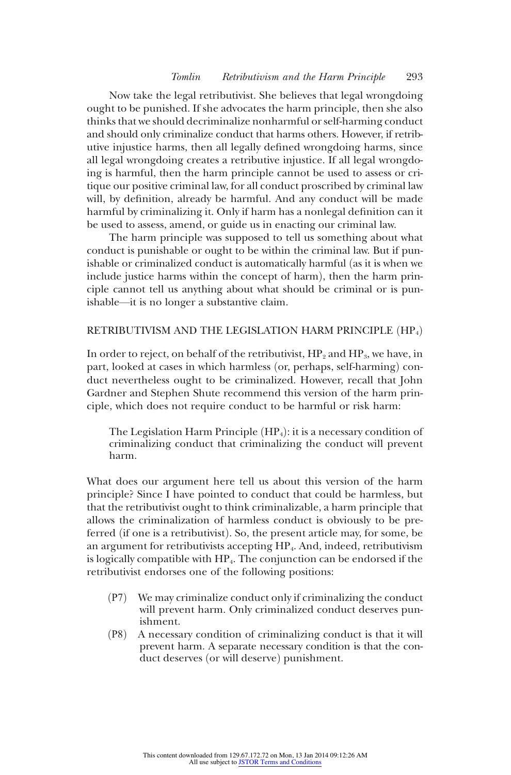Now take the legal retributivist. She believes that legal wrongdoing ought to be punished. If she advocates the harm principle, then she also thinks that we should decriminalize nonharmful or self-harming conduct and should only criminalize conduct that harms others. However, if retributive injustice harms, then all legally defined wrongdoing harms, since all legal wrongdoing creates a retributive injustice. If all legal wrongdoing is harmful, then the harm principle cannot be used to assess or critique our positive criminal law, for all conduct proscribed by criminal law will, by definition, already be harmful. And any conduct will be made harmful by criminalizing it. Only if harm has a nonlegal definition can it be used to assess, amend, or guide us in enacting our criminal law.

The harm principle was supposed to tell us something about what conduct is punishable or ought to be within the criminal law. But if punishable or criminalized conduct is automatically harmful (as it is when we include justice harms within the concept of harm), then the harm principle cannot tell us anything about what should be criminal or is punishable—it is no longer a substantive claim.

## RETRIBUTIVISM AND THE LEGISLATION HARM PRINCIPLE (HP<sub>4</sub>)

In order to reject, on behalf of the retributivist,  $HP_2$  and  $HP_3$ , we have, in part, looked at cases in which harmless (or, perhaps, self-harming) conduct nevertheless ought to be criminalized. However, recall that John Gardner and Stephen Shute recommend this version of the harm principle, which does not require conduct to be harmful or risk harm:

The Legislation Harm Principle  $(HP<sub>4</sub>)$ : it is a necessary condition of criminalizing conduct that criminalizing the conduct will prevent harm.

What does our argument here tell us about this version of the harm principle? Since I have pointed to conduct that could be harmless, but that the retributivist ought to think criminalizable, a harm principle that allows the criminalization of harmless conduct is obviously to be preferred (if one is a retributivist). So, the present article may, for some, be an argument for retributivists accepting HP4. And, indeed, retributivism is logically compatible with HP<sub>4</sub>. The conjunction can be endorsed if the retributivist endorses one of the following positions:

- $(P7)$  We may criminalize conduct only if criminalizing the conduct will prevent harm. Only criminalized conduct deserves punishment.
- (P8) A necessary condition of criminalizing conduct is that it will prevent harm. A separate necessary condition is that the conduct deserves (or will deserve) punishment.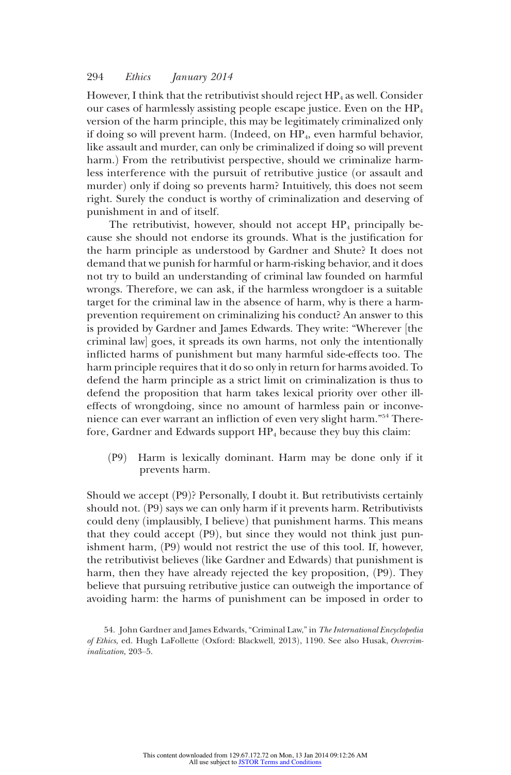However, I think that the retributivist should reject  $HP_4$  as well. Consider our cases of harmlessly assisting people escape justice. Even on the  $HP_4$ version of the harm principle, this may be legitimately criminalized only if doing so will prevent harm. (Indeed, on  $HP_4$ , even harmful behavior, like assault and murder, can only be criminalized if doing so will prevent harm.) From the retributivist perspective, should we criminalize harmless interference with the pursuit of retributive justice (or assault and murder) only if doing so prevents harm? Intuitively, this does not seem right. Surely the conduct is worthy of criminalization and deserving of punishment in and of itself.

The retributivist, however, should not accept  $HP_4$  principally because she should not endorse its grounds. What is the justification for the harm principle as understood by Gardner and Shute? It does not demand that we punish for harmful or harm-risking behavior, and it does not try to build an understanding of criminal law founded on harmful wrongs. Therefore, we can ask, if the harmless wrongdoer is a suitable target for the criminal law in the absence of harm, why is there a harmprevention requirement on criminalizing his conduct? An answer to this is provided by Gardner and James Edwards. They write: "Wherever [the criminal law goes, it spreads its own harms, not only the intentionally inflicted harms of punishment but many harmful side-effects too. The harm principle requires that it do so only in return for harms avoided. To defend the harm principle as a strict limit on criminalization is thus to defend the proposition that harm takes lexical priority over other illeffects of wrongdoing, since no amount of harmless pain or inconvenience can ever warrant an infliction of even very slight harm."54 Therefore, Gardner and Edwards support HP<sub>4</sub> because they buy this claim:

(P9) Harm is lexically dominant. Harm may be done only if it prevents harm.

Should we accept  $(P9)$ ? Personally, I doubt it. But retributivists certainly should not. (P9) says we can only harm if it prevents harm. Retributivists could deny (implausibly, I believe) that punishment harms. This means that they could accept  $(P9)$ , but since they would not think just punishment harm,  $(P9)$  would not restrict the use of this tool. If, however, the retributivist believes (like Gardner and Edwards) that punishment is harm, then they have already rejected the key proposition, (P9). They believe that pursuing retributive justice can outweigh the importance of avoiding harm: the harms of punishment can be imposed in order to

<sup>54.</sup> John Gardner and James Edwards, "Criminal Law," in The International Encyclopedia of Ethics, ed. Hugh LaFollette (Oxford: Blackwell, 2013), 1190. See also Husak, Overcriminalization, 203–5.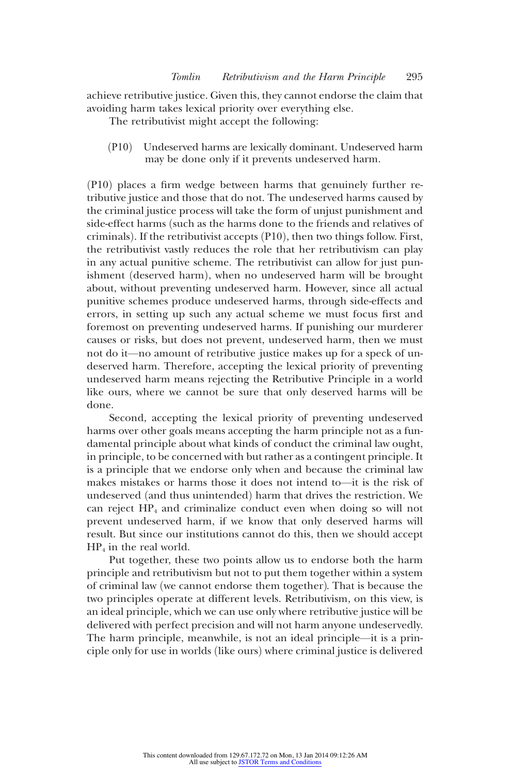achieve retributive justice. Given this, they cannot endorse the claim that avoiding harm takes lexical priority over everything else.

The retributivist might accept the following:

ðP10Þ Undeserved harms are lexically dominant. Undeserved harm may be done only if it prevents undeserved harm.

 $(P10)$  places a firm wedge between harms that genuinely further retributive justice and those that do not. The undeserved harms caused by the criminal justice process will take the form of unjust punishment and side-effect harms (such as the harms done to the friends and relatives of criminals). If the retributivist accepts  $(P10)$ , then two things follow. First, the retributivist vastly reduces the role that her retributivism can play in any actual punitive scheme. The retributivist can allow for just punishment (deserved harm), when no undeserved harm will be brought about, without preventing undeserved harm. However, since all actual punitive schemes produce undeserved harms, through side-effects and errors, in setting up such any actual scheme we must focus first and foremost on preventing undeserved harms. If punishing our murderer causes or risks, but does not prevent, undeserved harm, then we must not do it—no amount of retributive justice makes up for a speck of undeserved harm. Therefore, accepting the lexical priority of preventing undeserved harm means rejecting the Retributive Principle in a world like ours, where we cannot be sure that only deserved harms will be done.

Second, accepting the lexical priority of preventing undeserved harms over other goals means accepting the harm principle not as a fundamental principle about what kinds of conduct the criminal law ought, in principle, to be concerned with but rather as a contingent principle. It is a principle that we endorse only when and because the criminal law makes mistakes or harms those it does not intend to—it is the risk of undeserved (and thus unintended) harm that drives the restriction. We can reject  $HP_4$  and criminalize conduct even when doing so will not prevent undeserved harm, if we know that only deserved harms will result. But since our institutions cannot do this, then we should accept  $HP_4$  in the real world.

Put together, these two points allow us to endorse both the harm principle and retributivism but not to put them together within a system of criminal law (we cannot endorse them together). That is because the two principles operate at different levels. Retributivism, on this view, is an ideal principle, which we can use only where retributive justice will be delivered with perfect precision and will not harm anyone undeservedly. The harm principle, meanwhile, is not an ideal principle—it is a principle only for use in worlds (like ours) where criminal justice is delivered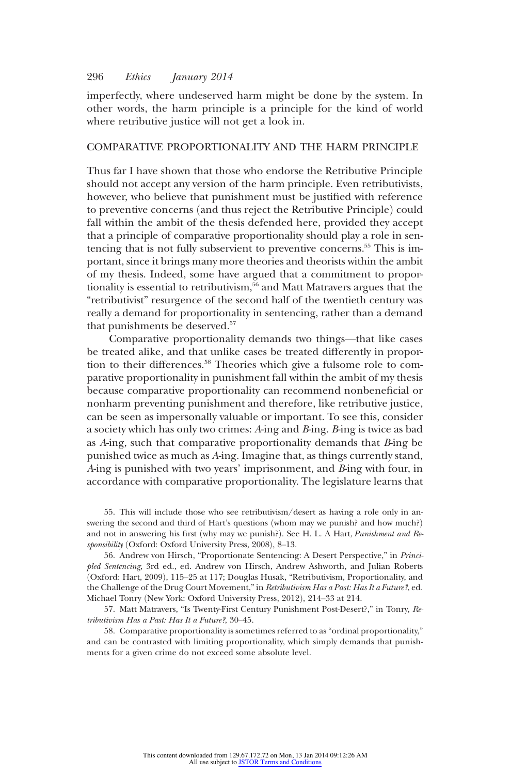imperfectly, where undeserved harm might be done by the system. In other words, the harm principle is a principle for the kind of world where retributive justice will not get a look in.

## COMPARATIVE PROPORTIONALITY AND THE HARM PRINCIPLE

Thus far I have shown that those who endorse the Retributive Principle should not accept any version of the harm principle. Even retributivists, however, who believe that punishment must be justified with reference to preventive concerns (and thus reject the Retributive Principle) could fall within the ambit of the thesis defended here, provided they accept that a principle of comparative proportionality should play a role in sentencing that is not fully subservient to preventive concerns.<sup>55</sup> This is important, since it brings many more theories and theorists within the ambit of my thesis. Indeed, some have argued that a commitment to proportionality is essential to retributivism,<sup>56</sup> and Matt Matravers argues that the "retributivist" resurgence of the second half of the twentieth century was really a demand for proportionality in sentencing, rather than a demand that punishments be deserved.<sup>57</sup>

Comparative proportionality demands two things—that like cases be treated alike, and that unlike cases be treated differently in proportion to their differences.58 Theories which give a fulsome role to comparative proportionality in punishment fall within the ambit of my thesis because comparative proportionality can recommend nonbeneficial or nonharm preventing punishment and therefore, like retributive justice, can be seen as impersonally valuable or important. To see this, consider a society which has only two crimes: A-ing and B-ing. B-ing is twice as bad as  $A$ -ing, such that comparative proportionality demands that  $B$ -ing be punished twice as much as A-ing. Imagine that, as things currently stand, A-ing is punished with two years' imprisonment, and  $B$ -ing with four, in accordance with comparative proportionality. The legislature learns that

55. This will include those who see retributivism/desert as having a role only in answering the second and third of Hart's questions (whom may we punish? and how much?) and not in answering his first (why may we punish?). See H. L. A Hart, Punishment and Responsibility (Oxford: Oxford University Press, 2008), 8-13.

56. Andrew von Hirsch, "Proportionate Sentencing: A Desert Perspective," in Principled Sentencing, 3rd ed., ed. Andrew von Hirsch, Andrew Ashworth, and Julian Roberts (Oxford: Hart, 2009), 115–25 at 117; Douglas Husak, "Retributivism, Proportionality, and the Challenge of the Drug Court Movement," in Retributivism Has a Past: Has It a Future?, ed. Michael Tonry (New York: Oxford University Press, 2012), 214–33 at 214.

57. Matt Matravers, "Is Twenty-First Century Punishment Post-Desert?," in Tonry, Retributivism Has a Past: Has It a Future?, 30–45.

58. Comparative proportionality is sometimes referred to as "ordinal proportionality," and can be contrasted with limiting proportionality, which simply demands that punishments for a given crime do not exceed some absolute level.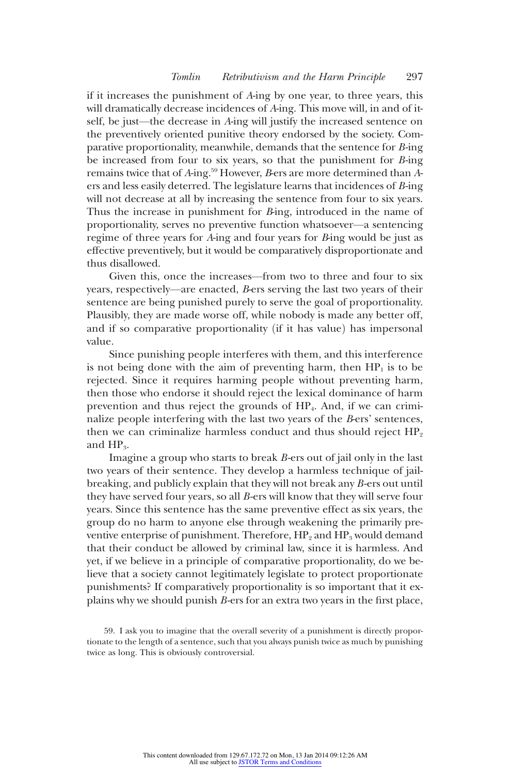if it increases the punishment of A-ing by one year, to three years, this will dramatically decrease incidences of A-ing. This move will, in and of itself, be just—the decrease in A-ing will justify the increased sentence on the preventively oriented punitive theory endorsed by the society. Comparative proportionality, meanwhile, demands that the sentence for B-ing be increased from four to six years, so that the punishment for B-ing remains twice that of A-ing.<sup>59</sup> However, B-ers are more determined than Aers and less easily deterred. The legislature learns that incidences of B-ing will not decrease at all by increasing the sentence from four to six years. Thus the increase in punishment for Bing, introduced in the name of proportionality, serves no preventive function whatsoever—a sentencing regime of three years for A-ing and four years for B-ing would be just as effective preventively, but it would be comparatively disproportionate and thus disallowed.

Given this, once the increases—from two to three and four to six years, respectively—are enacted, B-ers serving the last two years of their sentence are being punished purely to serve the goal of proportionality. Plausibly, they are made worse off, while nobody is made any better off, and if so comparative proportionality (if it has value) has impersonal value.

Since punishing people interferes with them, and this interference is not being done with the aim of preventing harm, then  $HP_1$  is to be rejected. Since it requires harming people without preventing harm, then those who endorse it should reject the lexical dominance of harm prevention and thus reject the grounds of HP4. And, if we can criminalize people interfering with the last two years of the B-ers' sentences, then we can criminalize harmless conduct and thus should reject  $HP_2$ and HP<sub>3</sub>.

Imagine a group who starts to break B-ers out of jail only in the last two years of their sentence. They develop a harmless technique of jailbreaking, and publicly explain that they will not break any B-ers out until they have served four years, so all B-ers will know that they will serve four years. Since this sentence has the same preventive effect as six years, the group do no harm to anyone else through weakening the primarily preventive enterprise of punishment. Therefore,  $HP_2$  and  $HP_3$  would demand that their conduct be allowed by criminal law, since it is harmless. And yet, if we believe in a principle of comparative proportionality, do we believe that a society cannot legitimately legislate to protect proportionate punishments? If comparatively proportionality is so important that it explains why we should punish B-ers for an extra two years in the first place,

<sup>59.</sup> I ask you to imagine that the overall severity of a punishment is directly proportionate to the length of a sentence, such that you always punish twice as much by punishing twice as long. This is obviously controversial.